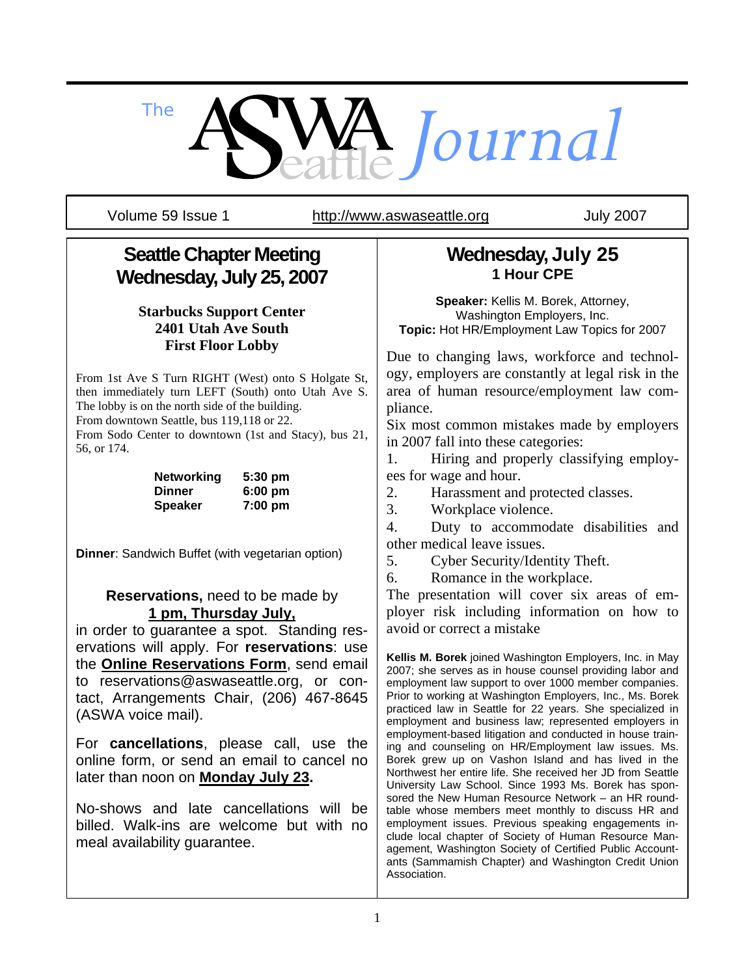*The Journal*

Volume 59 Issue 1 http://www.aswaseattle.org July 2007

# **Seattle Chapter Meeting Wednesday, July 25, 2007**

### **Starbucks Support Center 2401 Utah Ave South First Floor Lobby**

From 1st Ave S Turn RIGHT (West) onto S Holgate St, then immediately turn LEFT (South) onto Utah Ave S. The lobby is on the north side of the building.

From downtown Seattle, bus 119,118 or 22.

From Sodo Center to downtown (1st and Stacy), bus 21, 56, or 174.

| <b>Networking</b> | 5:30 pm           |
|-------------------|-------------------|
| Dinner            | $6:00 \text{ pm}$ |
| <b>Speaker</b>    | $7:00$ pm         |

**Dinner:** Sandwich Buffet (with vegetarian option)

#### **Reservations,** need to be made by **1 pm, Thursday July,**

in order to guarantee a spot. Standing reservations will apply. For **reservations**: use the **Online Reservations Form**, send email to reservations@aswaseattle.org, or contact, Arrangements Chair, (206) 467-8645 (ASWA voice mail).

For **cancellations**, please call, use the online form, or send an email to cancel no later than noon on **Monday July 23.** 

No-shows and late cancellations will be billed. Walk-ins are welcome but with no meal availability guarantee.

# **Wednesday, July 25 1 Hour CPE**

**Speaker:** Kellis M. Borek, Attorney, Washington Employers, Inc. **Topic:** Hot HR/Employment Law Topics for 2007

Due to changing laws, workforce and technology, employers are constantly at legal risk in the area of human resource/employment law compliance.

Six most common mistakes made by employers in 2007 fall into these categories:

1. Hiring and properly classifying employees for wage and hour.

2. Harassment and protected classes.

3. Workplace violence.

4. Duty to accommodate disabilities and other medical leave issues.

5. Cyber Security/Identity Theft.

6. Romance in the workplace.

The presentation will cover six areas of employer risk including information on how to avoid or correct a mistake

**Kellis M. Borek** joined Washington Employers, Inc. in May 2007; she serves as in house counsel providing labor and employment law support to over 1000 member companies. Prior to working at Washington Employers, Inc., Ms. Borek practiced law in Seattle for 22 years. She specialized in employment and business law; represented employers in employment-based litigation and conducted in house training and counseling on HR/Employment law issues. Ms. Borek grew up on Vashon Island and has lived in the Northwest her entire life. She received her JD from Seattle University Law School. Since 1993 Ms. Borek has sponsored the New Human Resource Network – an HR roundtable whose members meet monthly to discuss HR and employment issues. Previous speaking engagements include local chapter of Society of Human Resource Management, Washington Society of Certified Public Accountants (Sammamish Chapter) and Washington Credit Union Association.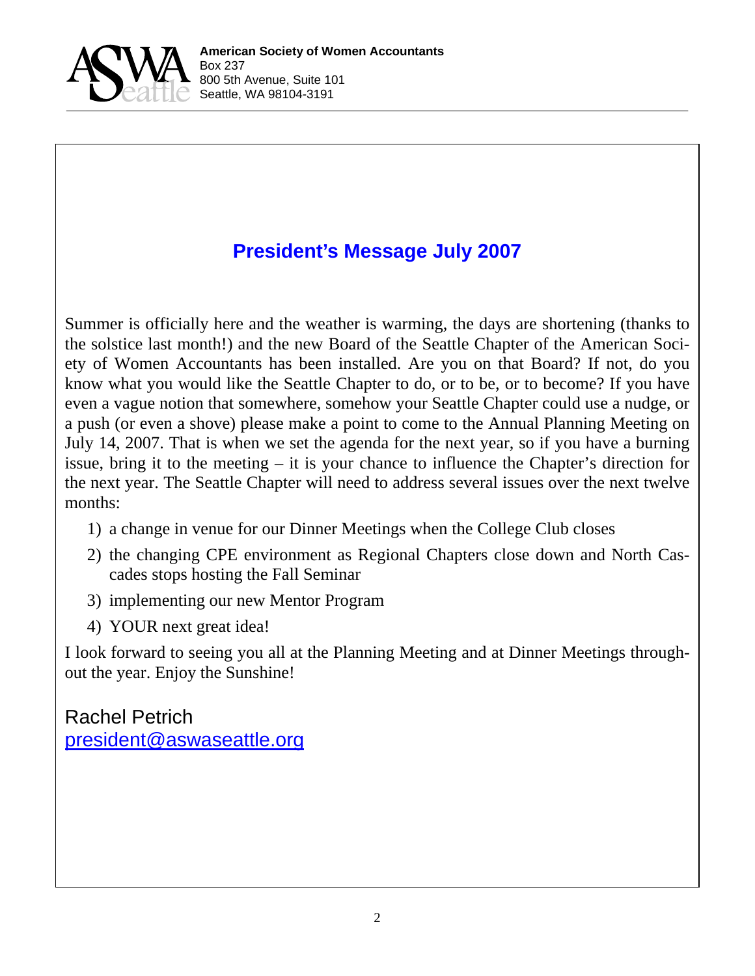

# **President's Message July 2007**

Summer is officially here and the weather is warming, the days are shortening (thanks to the solstice last month!) and the new Board of the Seattle Chapter of the American Society of Women Accountants has been installed. Are you on that Board? If not, do you know what you would like the Seattle Chapter to do, or to be, or to become? If you have even a vague notion that somewhere, somehow your Seattle Chapter could use a nudge, or a push (or even a shove) please make a point to come to the Annual Planning Meeting on July 14, 2007. That is when we set the agenda for the next year, so if you have a burning issue, bring it to the meeting – it is your chance to influence the Chapter's direction for the next year. The Seattle Chapter will need to address several issues over the next twelve months:

- 1) a change in venue for our Dinner Meetings when the College Club closes
- 2) the changing CPE environment as Regional Chapters close down and North Cascades stops hosting the Fall Seminar
- 3) implementing our new Mentor Program
- 4) YOUR next great idea!

I look forward to seeing you all at the Planning Meeting and at Dinner Meetings throughout the year. Enjoy the Sunshine!

Rachel Petrich president@aswaseattle.org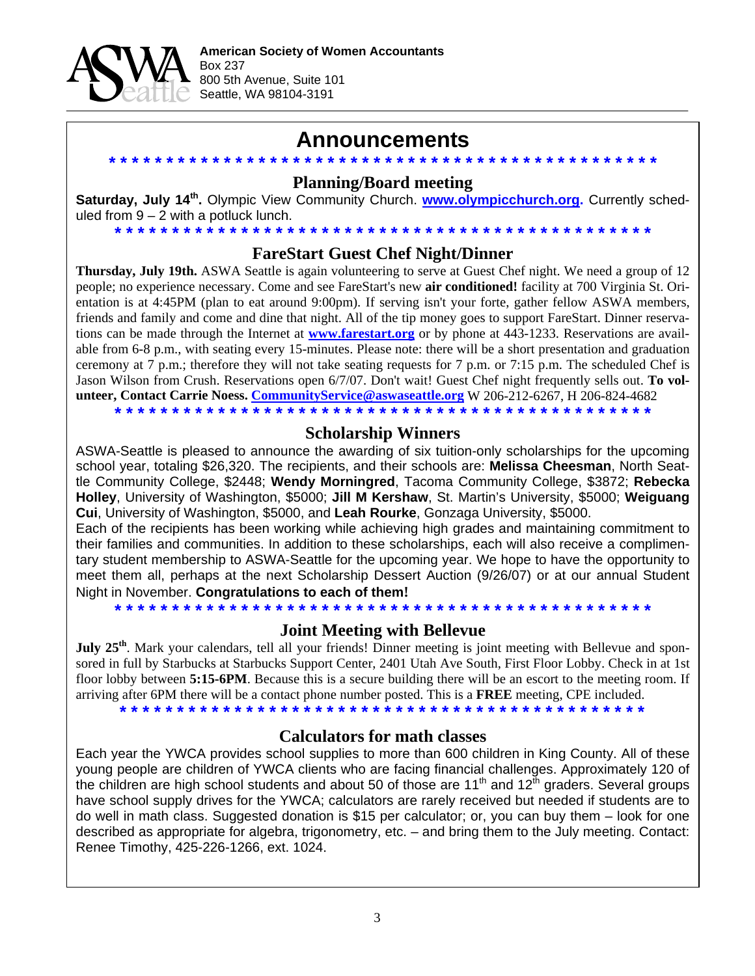

# **Announcements**

#### **\* \* \* \* \* \* \* \* \* \* \* \* \* \* \* \* \* \* \* \* \* \* \* \* \* \* \* \* \* \* \* \* \* \* \* \* \* \* \* \* \* \* \* \* \* \* \* \* Planning/Board meeting**

**Saturday, July 14th.** Olympic View Community Church. **www.olympicchurch.org.** Currently scheduled from  $9 - 2$  with a potluck lunch.

### **\* \* \* \* \* \* \* \* \* \* \* \* \* \* \* \* \* \* \* \* \* \* \* \* \* \* \* \* \* \* \* \* \* \* \* \* \* \* \* \* \* \* \* \* \* \* \* FareStart Guest Chef Night/Dinner**

**Thursday, July 19th.** ASWA Seattle is again volunteering to serve at Guest Chef night. We need a group of 12 people; no experience necessary. Come and see FareStart's new **air conditioned!** facility at 700 Virginia St. Orientation is at 4:45PM (plan to eat around 9:00pm). If serving isn't your forte, gather fellow ASWA members, friends and family and come and dine that night. All of the tip money goes to support FareStart. Dinner reservations can be made through the Internet at **www.farestart.org** or by phone at 443-1233. Reservations are available from 6-8 p.m., with seating every 15-minutes. Please note: there will be a short presentation and graduation ceremony at  $7$  p.m.; therefore they will not take seating requests for  $7$  p.m. or  $7:15$  p.m. The scheduled Chef is Jason Wilson from Crush. Reservations open 6/7/07. Don't wait! Guest Chef night frequently sells out. **To volunteer, Contact Carrie Noess. CommunityService@aswaseattle.org** W 206-212-6267, H 206-824-4682 **\* \* \* \* \* \* \* \* \* \* \* \* \* \* \* \* \* \* \* \* \* \* \* \* \* \* \* \* \* \* \* \* \* \* \* \* \* \* \* \* \* \* \* \* \* \* \***

#### **Scholarship Winners**

ASWA-Seattle is pleased to announce the awarding of six tuition-only scholarships for the upcoming school year, totaling \$26,320. The recipients, and their schools are: **Melissa Cheesman**, North Seattle Community College, \$2448; **Wendy Morningred**, Tacoma Community College, \$3872; **Rebecka Holley**, University of Washington, \$5000; **Jill M Kershaw**, St. Martin's University, \$5000; **Weiguang Cui**, University of Washington, \$5000, and **Leah Rourke**, Gonzaga University, \$5000.

Each of the recipients has been working while achieving high grades and maintaining commitment to their families and communities. In addition to these scholarships, each will also receive a complimentary student membership to ASWA-Seattle for the upcoming year. We hope to have the opportunity to meet them all, perhaps at the next Scholarship Dessert Auction (9/26/07) or at our annual Student Night in November. **Congratulations to each of them!**

**\* \* \* \* \* \* \* \* \* \* \* \* \* \* \* \* \* \* \* \* \* \* \* \* \* \* \* \* \* \* \* \* \* \* \* \* \* \* \* \* \* \* \* \* \* \* \*** 

#### **Joint Meeting with Bellevue**

**July 25<sup>th</sup>**. Mark your calendars, tell all your friends! Dinner meeting is joint meeting with Bellevue and sponsored in full by Starbucks at Starbucks Support Center, 2401 Utah Ave South, First Floor Lobby. Check in at 1st floor lobby between **5:15-6PM**. Because this is a secure building there will be an escort to the meeting room. If arriving after 6PM there will be a contact phone number posted. This is a **FREE** meeting, CPE included.

**\* \* \* \* \* \* \* \* \* \* \* \* \* \* \* \* \* \* \* \* \* \* \* \* \* \* \* \* \* \* \* \* \* \* \* \* \* \* \* \* \* \* \* \* \* \*** 

#### **Calculators for math classes**

Each year the YWCA provides school supplies to more than 600 children in King County. All of these young people are children of YWCA clients who are facing financial challenges. Approximately 120 of the children are high school students and about 50 of those are  $11<sup>th</sup>$  and  $12<sup>th</sup>$  graders. Several groups have school supply drives for the YWCA; calculators are rarely received but needed if students are to do well in math class. Suggested donation is \$15 per calculator; or, you can buy them – look for one described as appropriate for algebra, trigonometry, etc. – and bring them to the July meeting. Contact: Renee Timothy, 425-226-1266, ext. 1024.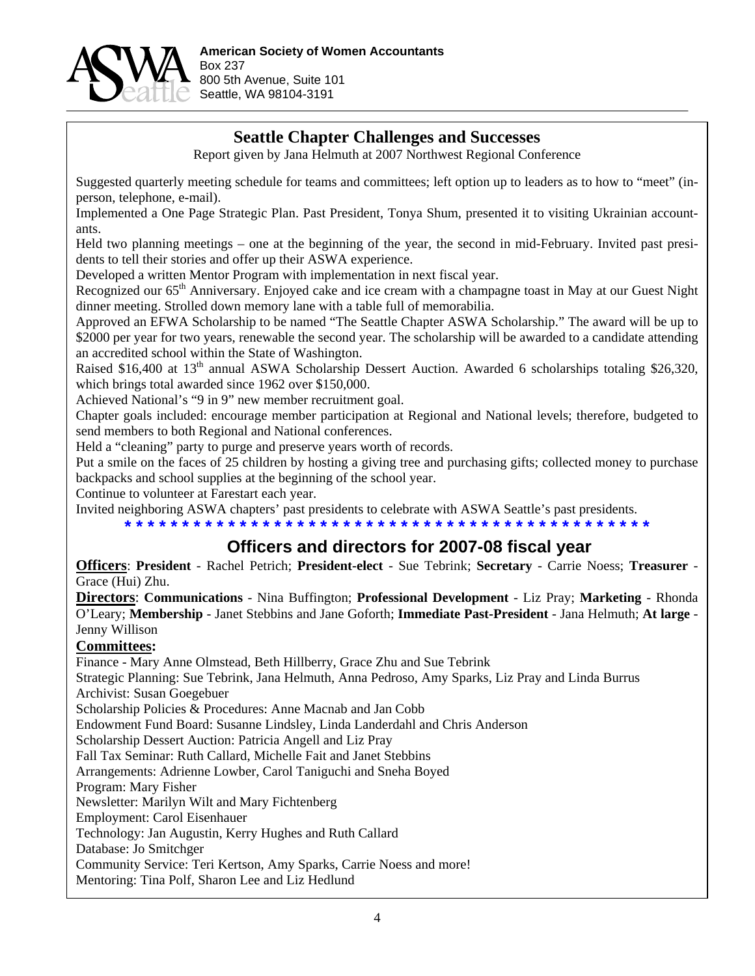

## **Seattle Chapter Challenges and Successes**

Report given by Jana Helmuth at 2007 Northwest Regional Conference

Suggested quarterly meeting schedule for teams and committees; left option up to leaders as to how to "meet" (inperson, telephone, e-mail).

Implemented a One Page Strategic Plan. Past President, Tonya Shum, presented it to visiting Ukrainian accountants.

Held two planning meetings – one at the beginning of the year, the second in mid-February. Invited past presidents to tell their stories and offer up their ASWA experience.

Developed a written Mentor Program with implementation in next fiscal year.

Recognized our 65<sup>th</sup> Anniversary. Enjoyed cake and ice cream with a champagne toast in May at our Guest Night dinner meeting. Strolled down memory lane with a table full of memorabilia.

Approved an EFWA Scholarship to be named "The Seattle Chapter ASWA Scholarship." The award will be up to \$2000 per year for two years, renewable the second year. The scholarship will be awarded to a candidate attending an accredited school within the State of Washington.

Raised \$16,400 at 13<sup>th</sup> annual ASWA Scholarship Dessert Auction. Awarded 6 scholarships totaling \$26,320, which brings total awarded since 1962 over \$150,000.

Achieved National's "9 in 9" new member recruitment goal.

Chapter goals included: encourage member participation at Regional and National levels; therefore, budgeted to send members to both Regional and National conferences.

Held a "cleaning" party to purge and preserve years worth of records.

Put a smile on the faces of 25 children by hosting a giving tree and purchasing gifts; collected money to purchase backpacks and school supplies at the beginning of the school year.

Continue to volunteer at Farestart each year.

Invited neighboring ASWA chapters' past presidents to celebrate with ASWA Seattle's past presidents.

#### **\* \* \* \* \* \* \* \* \* \* \* \* \* \* \* \* \* \* \* \* \* \* \* \* \* \* \* \* \* \* \* \* \* \* \* \* \* \* \* \* \* \* \* \* \* \***

## **Officers and directors for 2007-08 fiscal year**

**Officers**: **President** - Rachel Petrich; **President-elect** - Sue Tebrink; **Secretary** - Carrie Noess; **Treasurer** - Grace (Hui) Zhu.

**Directors**: **Communications** - Nina Buffington; **Professional Development** - Liz Pray; **Marketing** - Rhonda O'Leary; **Membership** - Janet Stebbins and Jane Goforth; **Immediate Past-President** - Jana Helmuth; **At large** - Jenny Willison

#### **Committees:**

Finance - Mary Anne Olmstead, Beth Hillberry, Grace Zhu and Sue Tebrink

Strategic Planning: Sue Tebrink, Jana Helmuth, Anna Pedroso, Amy Sparks, Liz Pray and Linda Burrus Archivist: Susan Goegebuer

Scholarship Policies & Procedures: Anne Macnab and Jan Cobb

Endowment Fund Board: Susanne Lindsley, Linda Landerdahl and Chris Anderson

Scholarship Dessert Auction: Patricia Angell and Liz Pray

Fall Tax Seminar: Ruth Callard, Michelle Fait and Janet Stebbins

Arrangements: Adrienne Lowber, Carol Taniguchi and Sneha Boyed

Program: Mary Fisher

Newsletter: Marilyn Wilt and Mary Fichtenberg

Employment: Carol Eisenhauer

Technology: Jan Augustin, Kerry Hughes and Ruth Callard

Database: Jo Smitchger

Community Service: Teri Kertson, Amy Sparks, Carrie Noess and more!

Mentoring: Tina Polf, Sharon Lee and Liz Hedlund